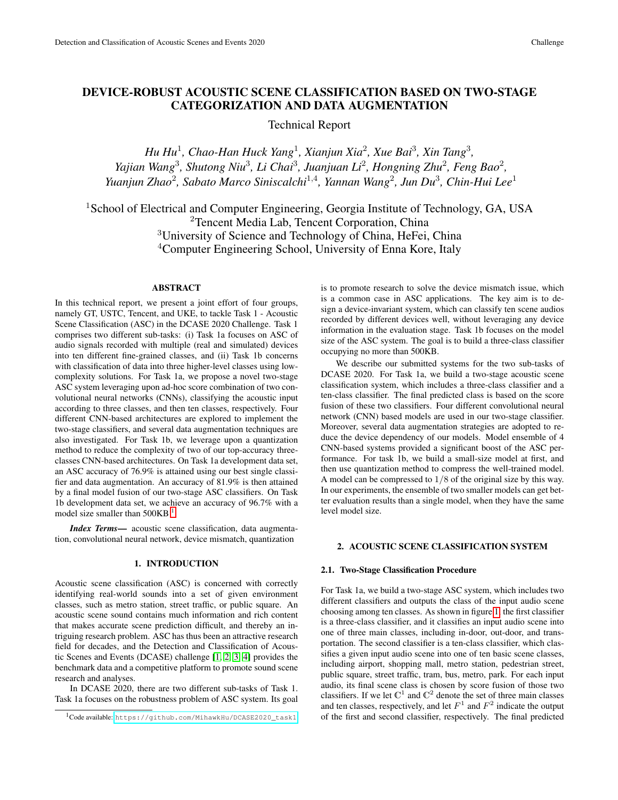# DEVICE-ROBUST ACOUSTIC SCENE CLASSIFICATION BASED ON TWO-STAGE CATEGORIZATION AND DATA AUGMENTATION

Technical Report

*Hu Hu<sup>1</sup>, Chao-Han Huck Yang<sup>1</sup>, Xianjun Xia<sup>2</sup>, Xue Bai<sup>3</sup>, Xin Tang<sup>3</sup>,* Yajian Wang<sup>3</sup>, Shutong Niu<sup>3</sup>, Li Chai<sup>3</sup>, Juanjuan Li<sup>2</sup>, Hongning Zhu<sup>2</sup>, Feng Bao<sup>2</sup>, *Yuanjun Zhao*<sup>2</sup> *, Sabato Marco Siniscalchi*<sup>1</sup>,<sup>4</sup> *, Yannan Wang*<sup>2</sup> *, Jun Du*<sup>3</sup> *, Chin-Hui Lee*<sup>1</sup>

<sup>1</sup>School of Electrical and Computer Engineering, Georgia Institute of Technology, GA, USA <sup>2</sup>Tencent Media Lab, Tencent Corporation, China <sup>3</sup>University of Science and Technology of China, HeFei, China <sup>4</sup>Computer Engineering School, University of Enna Kore, Italy

# ABSTRACT

In this technical report, we present a joint effort of four groups, namely GT, USTC, Tencent, and UKE, to tackle Task 1 - Acoustic Scene Classification (ASC) in the DCASE 2020 Challenge. Task 1 comprises two different sub-tasks: (i) Task 1a focuses on ASC of audio signals recorded with multiple (real and simulated) devices into ten different fine-grained classes, and (ii) Task 1b concerns with classification of data into three higher-level classes using lowcomplexity solutions. For Task 1a, we propose a novel two-stage ASC system leveraging upon ad-hoc score combination of two convolutional neural networks (CNNs), classifying the acoustic input according to three classes, and then ten classes, respectively. Four different CNN-based architectures are explored to implement the two-stage classifiers, and several data augmentation techniques are also investigated. For Task 1b, we leverage upon a quantization method to reduce the complexity of two of our top-accuracy threeclasses CNN-based architectures. On Task 1a development data set, an ASC accuracy of 76.9% is attained using our best single classifier and data augmentation. An accuracy of 81.9% is then attained by a final model fusion of our two-stage ASC classifiers. On Task 1b development data set, we achieve an accuracy of 96.7% with a model size smaller than  $500KB$ <sup>[1](#page-0-0)</sup>.

*Index Terms*— acoustic scene classification, data augmentation, convolutional neural network, device mismatch, quantization

### 1. INTRODUCTION

Acoustic scene classification (ASC) is concerned with correctly identifying real-world sounds into a set of given environment classes, such as metro station, street traffic, or public square. An acoustic scene sound contains much information and rich content that makes accurate scene prediction difficult, and thereby an intriguing research problem. ASC has thus been an attractive research field for decades, and the Detection and Classification of Acoustic Scenes and Events (DCASE) challenge [\[1,](#page-4-0) [2,](#page-4-1) [3,](#page-4-2) [4\]](#page-4-3) provides the benchmark data and a competitive platform to promote sound scene research and analyses.

In DCASE 2020, there are two different sub-tasks of Task 1. Task 1a focuses on the robustness problem of ASC system. Its goal is to promote research to solve the device mismatch issue, which is a common case in ASC applications. The key aim is to design a device-invariant system, which can classify ten scene audios recorded by different devices well, without leveraging any device information in the evaluation stage. Task 1b focuses on the model size of the ASC system. The goal is to build a three-class classifier occupying no more than 500KB.

We describe our submitted systems for the two sub-tasks of DCASE 2020. For Task 1a, we build a two-stage acoustic scene classification system, which includes a three-class classifier and a ten-class classifier. The final predicted class is based on the score fusion of these two classifiers. Four different convolutional neural network (CNN) based models are used in our two-stage classifier. Moreover, several data augmentation strategies are adopted to reduce the device dependency of our models. Model ensemble of 4 CNN-based systems provided a significant boost of the ASC performance. For task 1b, we build a small-size model at first, and then use quantization method to compress the well-trained model. A model can be compressed to 1/8 of the original size by this way. In our experiments, the ensemble of two smaller models can get better evaluation results than a single model, when they have the same level model size.

### <span id="page-0-1"></span>2. ACOUSTIC SCENE CLASSIFICATION SYSTEM

#### 2.1. Two-Stage Classification Procedure

For Task 1a, we build a two-stage ASC system, which includes two different classifiers and outputs the class of the input audio scene choosing among ten classes. As shown in figure [1,](#page-1-0) the first classifier is a three-class classifier, and it classifies an input audio scene into one of three main classes, including in-door, out-door, and transportation. The second classifier is a ten-class classifier, which classifies a given input audio scene into one of ten basic scene classes, including airport, shopping mall, metro station, pedestrian street, public square, street traffic, tram, bus, metro, park. For each input audio, its final scene class is chosen by score fusion of those two classifiers. If we let  $\mathbb{C}^1$  and  $\mathbb{C}^2$  denote the set of three main classes and ten classes, respectively, and let  $F^1$  and  $F^2$  indicate the output of the first and second classifier, respectively. The final predicted

<span id="page-0-0"></span><sup>1</sup>Code available: [https://github.com/MihawkHu/DCASE2020\\_task1](https://github.com/MihawkHu/DCASE2020_task1)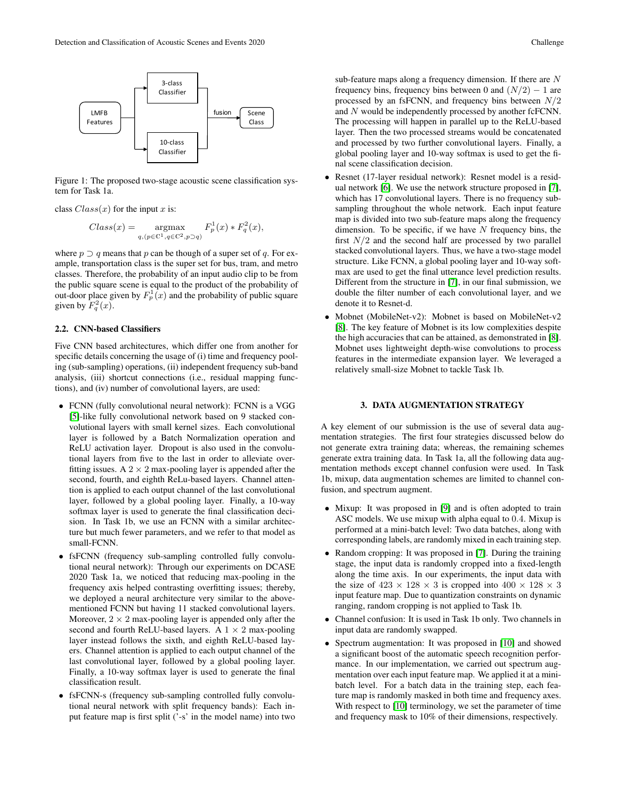

<span id="page-1-0"></span>Figure 1: The proposed two-stage acoustic scene classification system for Task 1a.

class  $Class(x)$  for the input x is:

$$
Class(x) = \underset{q, (p \in \mathbb{C}^1, q \in \mathbb{C}^2, p \supset q}{\text{argmax}} F_p^1(x) * F_q^2(x),
$$

where  $p \supset q$  means that p can be though of a super set of q. For example, transportation class is the super set for bus, tram, and metro classes. Therefore, the probability of an input audio clip to be from the public square scene is equal to the product of the probability of out-door place given by  $F_p^1(x)$  and the probability of public square given by  $F_q^2(x)$ .

### 2.2. CNN-based Classifiers

Five CNN based architectures, which differ one from another for specific details concerning the usage of (i) time and frequency pooling (sub-sampling) operations, (ii) independent frequency sub-band analysis, (iii) shortcut connections (i.e., residual mapping functions), and (iv) number of convolutional layers, are used:

- FCNN (fully convolutional neural network): FCNN is a VGG [\[5\]](#page-4-4)-like fully convolutional network based on 9 stacked convolutional layers with small kernel sizes. Each convolutional layer is followed by a Batch Normalization operation and ReLU activation layer. Dropout is also used in the convolutional layers from five to the last in order to alleviate overfitting issues. A  $2 \times 2$  max-pooling layer is appended after the second, fourth, and eighth ReLu-based layers. Channel attention is applied to each output channel of the last convolutional layer, followed by a global pooling layer. Finally, a 10-way softmax layer is used to generate the final classification decision. In Task 1b, we use an FCNN with a similar architecture but much fewer parameters, and we refer to that model as small-FCNN.
- fsFCNN (frequency sub-sampling controlled fully convolutional neural network): Through our experiments on DCASE 2020 Task 1a, we noticed that reducing max-pooling in the frequency axis helped contrasting overfitting issues; thereby, we deployed a neural architecture very similar to the abovementioned FCNN but having 11 stacked convolutional layers. Moreover,  $2 \times 2$  max-pooling layer is appended only after the second and fourth ReLU-based layers. A  $1 \times 2$  max-pooling layer instead follows the sixth, and eighth ReLU-based layers. Channel attention is applied to each output channel of the last convolutional layer, followed by a global pooling layer. Finally, a 10-way softmax layer is used to generate the final classification result.
- fsFCNN-s (frequency sub-sampling controlled fully convolutional neural network with split frequency bands): Each input feature map is first split ('-s' in the model name) into two

sub-feature maps along a frequency dimension. If there are N frequency bins, frequency bins between 0 and  $(N/2) - 1$  are processed by an fsFCNN, and frequency bins between  $N/2$ and N would be independently processed by another fcFCNN. The processing will happen in parallel up to the ReLU-based layer. Then the two processed streams would be concatenated and processed by two further convolutional layers. Finally, a global pooling layer and 10-way softmax is used to get the final scene classification decision.

- Resnet (17-layer residual network): Resnet model is a residual network [\[6\]](#page-4-5). We use the network structure proposed in [\[7\]](#page-4-6), which has 17 convolutional layers. There is no frequency subsampling throughout the whole network. Each input feature map is divided into two sub-feature maps along the frequency dimension. To be specific, if we have  $N$  frequency bins, the first  $N/2$  and the second half are processed by two parallel stacked convolutional layers. Thus, we have a two-stage model structure. Like FCNN, a global pooling layer and 10-way softmax are used to get the final utterance level prediction results. Different from the structure in [\[7\]](#page-4-6), in our final submission, we double the filter number of each convolutional layer, and we denote it to Resnet-d.
- Mobnet (MobileNet-v2): Mobnet is based on MobileNet-v2 [\[8\]](#page-4-7). The key feature of Mobnet is its low complexities despite the high accuracies that can be attained, as demonstrated in [\[8\]](#page-4-7). Mobnet uses lightweight depth-wise convolutions to process features in the intermediate expansion layer. We leveraged a relatively small-size Mobnet to tackle Task 1b.

# 3. DATA AUGMENTATION STRATEGY

A key element of our submission is the use of several data augmentation strategies. The first four strategies discussed below do not generate extra training data; whereas, the remaining schemes generate extra training data. In Task 1a, all the following data augmentation methods except channel confusion were used. In Task 1b, mixup, data augmentation schemes are limited to channel confusion, and spectrum augment.

- Mixup: It was proposed in [\[9\]](#page-4-8) and is often adopted to train ASC models. We use mixup with alpha equal to 0.4. Mixup is performed at a mini-batch level: Two data batches, along with corresponding labels, are randomly mixed in each training step.
- Random cropping: It was proposed in [\[7\]](#page-4-6). During the training stage, the input data is randomly cropped into a fixed-length along the time axis. In our experiments, the input data with the size of  $423 \times 128 \times 3$  is cropped into  $400 \times 128 \times 3$ input feature map. Due to quantization constraints on dynamic ranging, random cropping is not applied to Task 1b.
- Channel confusion: It is used in Task 1b only. Two channels in input data are randomly swapped.
- Spectrum augmentation: It was proposed in [\[10\]](#page-4-9) and showed a significant boost of the automatic speech recognition performance. In our implementation, we carried out spectrum augmentation over each input feature map. We applied it at a minibatch level. For a batch data in the training step, each feature map is randomly masked in both time and frequency axes. With respect to [\[10\]](#page-4-9) terminology, we set the parameter of time and frequency mask to 10% of their dimensions, respectively.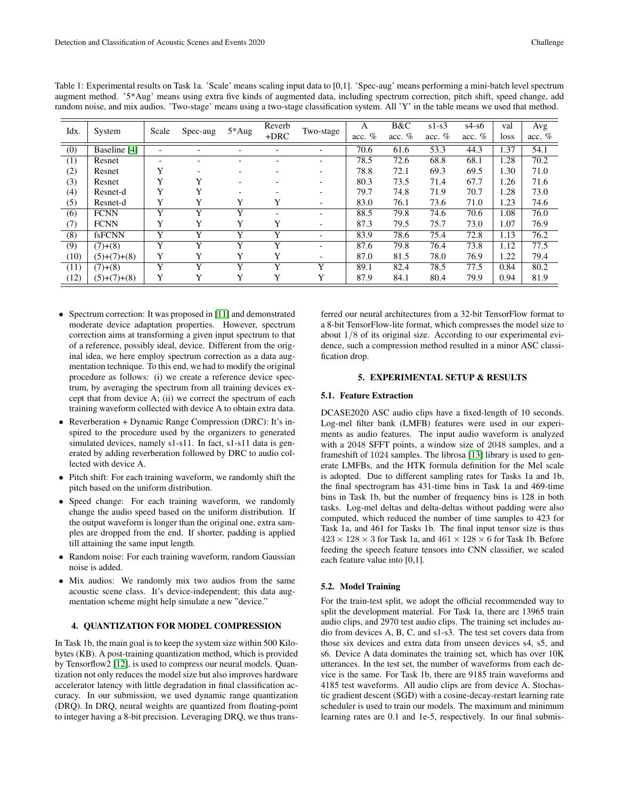| Idx.             | System        | Scale | Spec-aug | $5*Aug$     | Reverb<br>$+DRC$ | Two-stage | A<br>acc. $%$ | B&C<br>acc. $%$ | $s1-s3$<br>acc. $%$ | $s4-s6$<br>acc. $%$ | val<br>loss | Avg<br>acc. $%$ |
|------------------|---------------|-------|----------|-------------|------------------|-----------|---------------|-----------------|---------------------|---------------------|-------------|-----------------|
| (0)              | Baseline [4]  |       |          |             |                  |           | 70.6          | 61.6            | 53.3                | 44.3                | 1.37        | 54.1            |
| (1)              | Resnet        |       |          |             |                  |           | 78.5          | 72.6            | 68.8                | 68.1                | 1.28        | 70.2            |
| (2)              | Resnet        | v     |          |             |                  |           | 78.8          | 72.1            | 69.3                | 69.5                | 1.30        | 71.0            |
| (3)              | Resnet        |       |          |             |                  |           | 80.3          | 73.5            | 71.4                | 67.7                | l.26        | 71.6            |
| (4)              | Resnet-d      | v     |          |             |                  |           | 79.7          | 74.8            | 71.9                | 70.7                | 1.28        | 73.0            |
| (5)              | Resnet-d      | Y     | v        | Y           | Y                |           | 83.0          | 76.1            | 73.6                | 71.0                | 1.23        | 74.6            |
| (6)              | <b>FCNN</b>   | v     | v        | $\mathbf v$ |                  |           | 88.5          | 79.8            | 74.6                | 70.6                | 1.08        | 76.0            |
| (7)              | <b>FCNN</b>   | Y     |          | Y           | Y                |           | 87.3          | 79.5            | 75.7                | 73.0                | 1.07        | 76.9            |
| $\overline{(8)}$ | fsFCNN        | v     |          | v           | v                |           | 83.9          | 78.6            | 75.4                | 72.8                | 1.13        | 76.2            |
| (9)              | $(7)+(8)$     | Y     |          | Y           | Y                |           | 87.6          | 79.8            | 76.4                | 73.8                | 1.12        | 77.5            |
| (10)             | $(5)+(7)+(8)$ | Y     | v        | v           | Y                |           | 87.0          | 81.5            | 78.0                | 76.9                | 1.22        | 79.4            |
| (11)             | $(7)+(8)$     | v     | v        | Y           | Y                | v         | 89.1          | 82.4            | 78.5                | 77.5                | 0.84        | 80.2            |
| (12)             | $(5)+(7)+(8)$ | v     |          | v           | v                | v         | 87.9          | 84.1            | 80.4                | 79.9                | 0.94        | 81.9            |

<span id="page-2-0"></span>Table 1: Experimental results on Task 1a. 'Scale' means scaling input data to [0,1]. 'Spec-aug' means performing a mini-batch level spectrum augment method. '5\*Aug' means using extra five kinds of augmented data, including spectrum correction, pitch shift, speed change, add random noise, and mix audios. 'Two-stage' means using a two-stage classification system. All 'Y' in the table means we used that method.

- Spectrum correction: It was proposed in [\[11\]](#page-4-10) and demonstrated moderate device adaptation properties. However, spectrum correction aims at transforming a given input spectrum to that of a reference, possibly ideal, device. Different from the original idea, we here employ spectrum correction as a data augmentation technique. To this end, we had to modify the original procedure as follows: (i) we create a reference device spectrum, by averaging the spectrum from all training devices except that from device A; (ii) we correct the spectrum of each training waveform collected with device A to obtain extra data.
- Reverberation + Dynamic Range Compression (DRC): It's inspired to the procedure used by the organizers to generated simulated devices, namely s1-s11. In fact, s1-s11 data is generated by adding reverberation followed by DRC to audio collected with device A.
- Pitch shift: For each training waveform, we randomly shift the pitch based on the uniform distribution.
- Speed change: For each training waveform, we randomly change the audio speed based on the uniform distribution. If the output waveform is longer than the original one, extra samples are dropped from the end. If shorter, padding is applied till attaining the same input length.
- Random noise: For each training waveform, random Gaussian noise is added.
- Mix audios: We randomly mix two audios from the same acoustic scene class. It's device-independent; this data augmentation scheme might help simulate a new "device."

## 4. QUANTIZATION FOR MODEL COMPRESSION

In Task 1b, the main goal is to keep the system size within 500 Kilobytes (KB). A post-training quantization method, which is provided by Tensorflow2 [\[12\]](#page-4-11), is used to compress our neural models. Quantization not only reduces the model size but also improves hardware accelerator latency with little degradation in final classification accuracy. In our submission, we used dynamic range quantization (DRQ). In DRQ, neural weights are quantized from floating-point to integer having a 8-bit precision. Leveraging DRQ, we thus trans-

ferred our neural architectures from a 32-bit TensorFlow format to a 8-bit TensorFlow-lite format, which compresses the model size to about 1/8 of its original size. According to our experimental evidence, such a compression method resulted in a minor ASC classification drop.

# 5. EXPERIMENTAL SETUP & RESULTS

# 5.1. Feature Extraction

DCASE2020 ASC audio clips have a fixed-length of 10 seconds. Log-mel filter bank (LMFB) features were used in our experiments as audio features. The input audio waveform is analyzed with a 2048 SFFT points, a window size of 2048 samples, and a frameshift of 1024 samples. The librosa [\[13\]](#page-4-12) library is used to generate LMFBs, and the HTK formula definition for the Mel scale is adopted. Due to different sampling rates for Tasks 1a and 1b, the final spectrogram has 431-time bins in Task 1a and 469-time bins in Task 1b, but the number of frequency bins is 128 in both tasks. Log-mel deltas and delta-deltas without padding were also computed, which reduced the number of time samples to 423 for Task 1a, and 461 for Tasks 1b. The final input tensor size is thus  $423 \times 128 \times 3$  for Task 1a, and  $461 \times 128 \times 6$  for Task 1b. Before feeding the speech feature tensors into CNN classifier, we scaled each feature value into [0,1].

### 5.2. Model Training

For the train-test split, we adopt the official recommended way to split the development material. For Task 1a, there are 13965 train audio clips, and 2970 test audio clips. The training set includes audio from devices A, B, C, and s1-s3. The test set covers data from those six devices and extra data from unseen devices s4, s5, and s6. Device A data dominates the training set, which has over 10K utterances. In the test set, the number of waveforms from each device is the same. For Task 1b, there are 9185 train waveforms and 4185 test waveforms. All audio clips are from device A. Stochastic gradient descent (SGD) with a cosine-decay-restart learning rate scheduler is used to train our models. The maximum and minimum learning rates are 0.1 and 1e-5, respectively. In our final submis-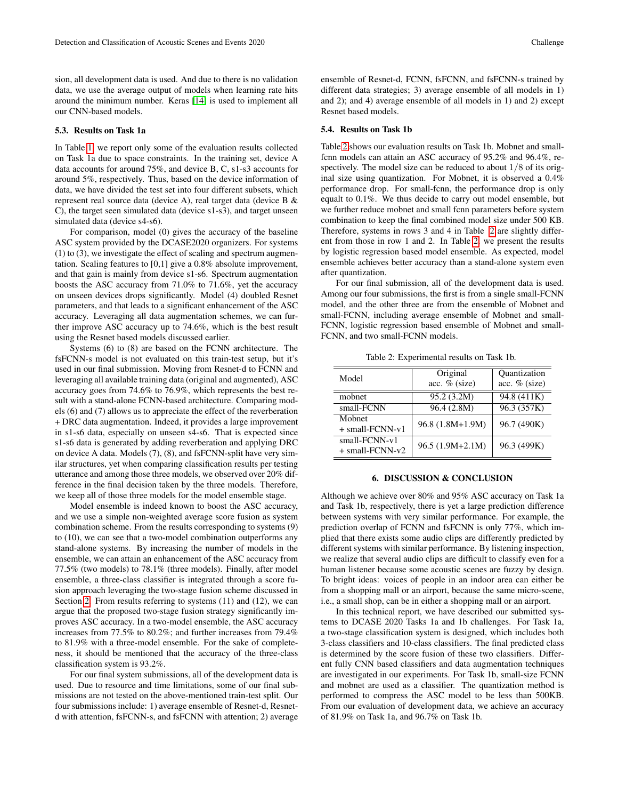sion, all development data is used. And due to there is no validation data, we use the average output of models when learning rate hits around the minimum number. Keras [\[14\]](#page-4-13) is used to implement all our CNN-based models.

### 5.3. Results on Task 1a

In Table [1,](#page-2-0) we report only some of the evaluation results collected on Task 1a due to space constraints. In the training set, device A data accounts for around 75%, and device B, C, s1-s3 accounts for around 5%, respectively. Thus, based on the device information of data, we have divided the test set into four different subsets, which represent real source data (device A), real target data (device B & C), the target seen simulated data (device s1-s3), and target unseen simulated data (device s4-s6).

For comparison, model (0) gives the accuracy of the baseline ASC system provided by the DCASE2020 organizers. For systems (1) to (3), we investigate the effect of scaling and spectrum augmentation. Scaling features to [0,1] give a 0.8% absolute improvement, and that gain is mainly from device s1-s6. Spectrum augmentation boosts the ASC accuracy from 71.0% to 71.6%, yet the accuracy on unseen devices drops significantly. Model (4) doubled Resnet parameters, and that leads to a significant enhancement of the ASC accuracy. Leveraging all data augmentation schemes, we can further improve ASC accuracy up to 74.6%, which is the best result using the Resnet based models discussed earlier.

Systems (6) to (8) are based on the FCNN architecture. The fsFCNN-s model is not evaluated on this train-test setup, but it's used in our final submission. Moving from Resnet-d to FCNN and leveraging all available training data (original and augmented), ASC accuracy goes from 74.6% to 76.9%, which represents the best result with a stand-alone FCNN-based architecture. Comparing models (6) and (7) allows us to appreciate the effect of the reverberation + DRC data augmentation. Indeed, it provides a large improvement in s1-s6 data, especially on unseen s4-s6. That is expected since s1-s6 data is generated by adding reverberation and applying DRC on device A data. Models (7), (8), and fsFCNN-split have very similar structures, yet when comparing classification results per testing utterance and among those three models, we observed over 20% difference in the final decision taken by the three models. Therefore, we keep all of those three models for the model ensemble stage.

Model ensemble is indeed known to boost the ASC accuracy, and we use a simple non-weighted average score fusion as system combination scheme. From the results corresponding to systems (9) to (10), we can see that a two-model combination outperforms any stand-alone systems. By increasing the number of models in the ensemble, we can attain an enhancement of the ASC accuracy from 77.5% (two models) to 78.1% (three models). Finally, after model ensemble, a three-class classifier is integrated through a score fusion approach leveraging the two-stage fusion scheme discussed in Section [2.](#page-0-1) From results referring to systems (11) and (12), we can argue that the proposed two-stage fusion strategy significantly improves ASC accuracy. In a two-model ensemble, the ASC accuracy increases from 77.5% to 80.2%; and further increases from 79.4% to 81.9% with a three-model ensemble. For the sake of completeness, it should be mentioned that the accuracy of the three-class classification system is 93.2%.

For our final system submissions, all of the development data is used. Due to resource and time limitations, some of our final submissions are not tested on the above-mentioned train-test split. Our four submissions include: 1) average ensemble of Resnet-d, Resnetd with attention, fsFCNN-s, and fsFCNN with attention; 2) average

ensemble of Resnet-d, FCNN, fsFCNN, and fsFCNN-s trained by different data strategies; 3) average ensemble of all models in 1) and 2); and 4) average ensemble of all models in 1) and 2) except Resnet based models.

## 5.4. Results on Task 1b

Table [2](#page-3-0) shows our evaluation results on Task 1b. Mobnet and smallfcnn models can attain an ASC accuracy of 95.2% and 96.4%, respectively. The model size can be reduced to about 1/8 of its original size using quantization. For Mobnet, it is observed a 0.4% performance drop. For small-fcnn, the performance drop is only equalt to 0.1%. We thus decide to carry out model ensemble, but we further reduce mobnet and small fcnn parameters before system combination to keep the final combined model size under 500 KB. Therefore, systems in rows 3 and 4 in Table [2](#page-3-0) are slightly different from those in row 1 and 2. In Table [2,](#page-3-0) we present the results by logistic regression based model ensemble. As expected, model ensemble achieves better accuracy than a stand-alone system even after quantization.

For our final submission, all of the development data is used. Among our four submissions, the first is from a single small-FCNN model, and the other three are from the ensemble of Mobnet and small-FCNN, including average ensemble of Mobnet and small-FCNN, logistic regression based ensemble of Mobnet and small-FCNN, and two small-FCNN models.

<span id="page-3-0"></span>Table 2: Experimental results on Task 1b.

| Model                              | Original<br>acc. % (size) | Quantization<br>acc. % (size) |  |  |
|------------------------------------|---------------------------|-------------------------------|--|--|
| mobnet                             | 95.2 (3.2M)               | 94.8 (411K)                   |  |  |
| small-FCNN                         | 96.4 (2.8M)               | 96.3 (357K)                   |  |  |
| Mobnet<br>$+$ small-FCNN-v1        | 96.8 (1.8M+1.9M)          | 96.7 (490K)                   |  |  |
| small-FCNN-v1<br>$+$ small-FCNN-v2 | 96.5 (1.9M+2.1M)          | 96.3 (499K)                   |  |  |

### 6. DISCUSSION & CONCLUSION

Although we achieve over 80% and 95% ASC accuracy on Task 1a and Task 1b, respectively, there is yet a large prediction difference between systems with very similar performance. For example, the prediction overlap of FCNN and fsFCNN is only 77%, which implied that there exists some audio clips are differently predicted by different systems with similar performance. By listening inspection, we realize that several audio clips are difficult to classify even for a human listener because some acoustic scenes are fuzzy by design. To bright ideas: voices of people in an indoor area can either be from a shopping mall or an airport, because the same micro-scene, i.e., a small shop, can be in either a shopping mall or an airport.

In this technical report, we have described our submitted systems to DCASE 2020 Tasks 1a and 1b challenges. For Task 1a, a two-stage classification system is designed, which includes both 3-class classifiers and 10-class classifiers. The final predicted class is determined by the score fusion of these two classifiers. Different fully CNN based classifiers and data augmentation techniques are investigated in our experiments. For Task 1b, small-size FCNN and mobnet are used as a classifier. The quantization method is performed to compress the ASC model to be less than 500KB. From our evaluation of development data, we achieve an accuracy of 81.9% on Task 1a, and 96.7% on Task 1b.